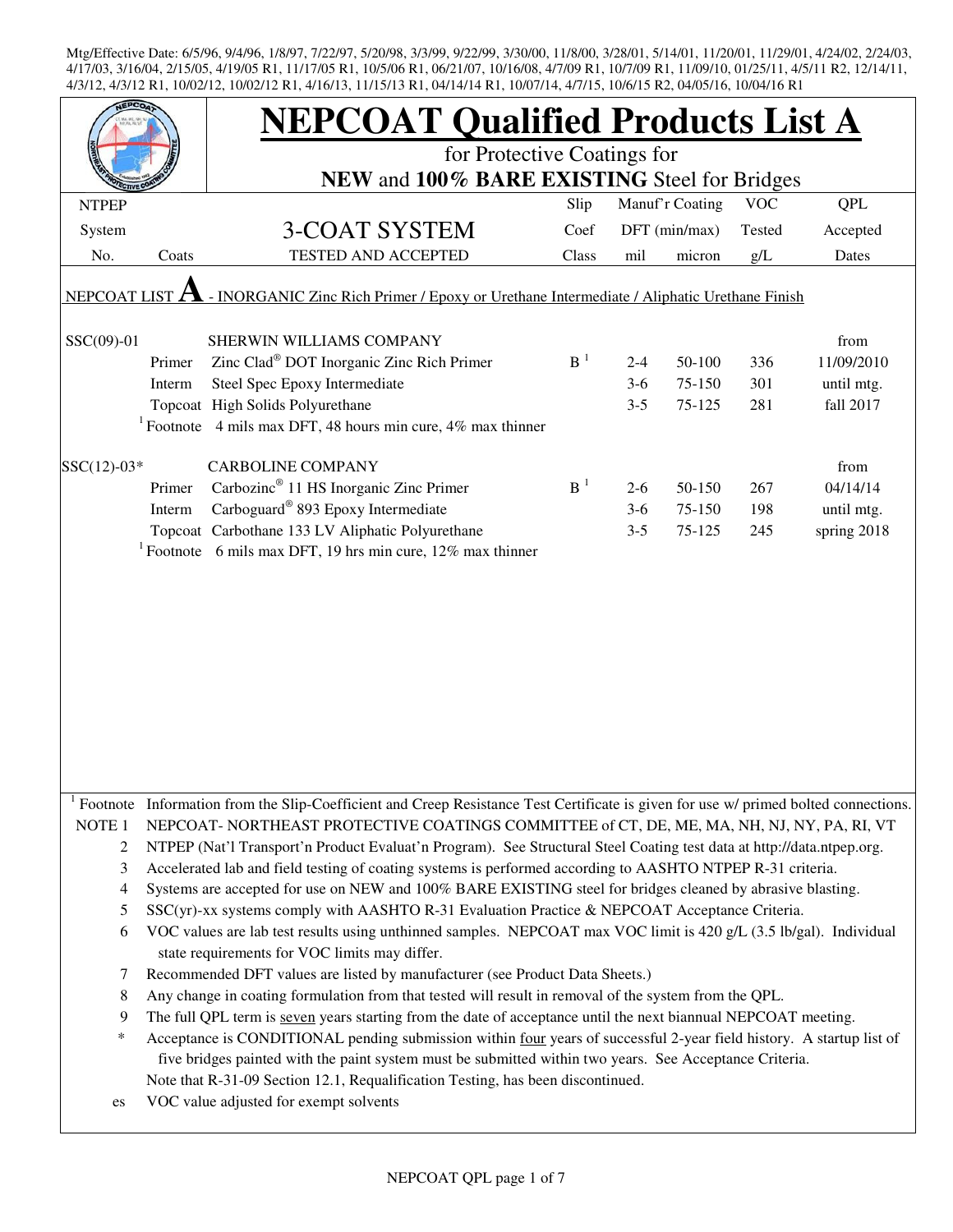| <b>EPCO</b>                                                                                                      |        | <b>NEPCOAT Qualified Products List A</b>                                                                                                                            |       |         |                 |            |             |  |  |
|------------------------------------------------------------------------------------------------------------------|--------|---------------------------------------------------------------------------------------------------------------------------------------------------------------------|-------|---------|-----------------|------------|-------------|--|--|
|                                                                                                                  |        | for Protective Coatings for                                                                                                                                         |       |         |                 |            |             |  |  |
|                                                                                                                  |        | NEW and 100% BARE EXISTING Steel for Bridges                                                                                                                        |       |         |                 |            |             |  |  |
| <b>NTPEP</b>                                                                                                     |        |                                                                                                                                                                     | Slip  |         | Manuf'r Coating | <b>VOC</b> | QPL         |  |  |
| System                                                                                                           |        | 3-COAT SYSTEM                                                                                                                                                       | Coef  |         | DFT (min/max)   | Tested     | Accepted    |  |  |
| No.                                                                                                              | Coats  | TESTED AND ACCEPTED                                                                                                                                                 | Class | mil     | micron          | g/L        | Dates       |  |  |
| - INORGANIC Zinc Rich Primer / Epoxy or Urethane Intermediate / Aliphatic Urethane Finish<br><b>NEPCOAT LIST</b> |        |                                                                                                                                                                     |       |         |                 |            |             |  |  |
| $SSC(09)-01$                                                                                                     |        | SHERWIN WILLIAMS COMPANY                                                                                                                                            |       |         |                 |            | from        |  |  |
|                                                                                                                  | Primer | Zinc Clad <sup>®</sup> DOT Inorganic Zinc Rich Primer                                                                                                               | $B-1$ | $2 - 4$ | 50-100          | 336        | 11/09/2010  |  |  |
|                                                                                                                  | Interm | Steel Spec Epoxy Intermediate                                                                                                                                       |       | $3-6$   | 75-150          | 301        | until mtg.  |  |  |
|                                                                                                                  |        | Topcoat High Solids Polyurethane                                                                                                                                    |       | $3 - 5$ | 75-125          | 281        | fall 2017   |  |  |
|                                                                                                                  |        | <sup>1</sup> Footnote 4 mils max DFT, 48 hours min cure, 4% max thinner                                                                                             |       |         |                 |            |             |  |  |
| $SSC(12)-03*$                                                                                                    |        | <b>CARBOLINE COMPANY</b>                                                                                                                                            |       |         |                 |            | from        |  |  |
|                                                                                                                  | Primer | Carbozinc <sup>®</sup> 11 HS Inorganic Zinc Primer                                                                                                                  | $B-1$ | $2 - 6$ | 50-150          | 267        | 04/14/14    |  |  |
|                                                                                                                  | Interm | Carboguard® 893 Epoxy Intermediate                                                                                                                                  |       | $3-6$   | 75-150          | 198        | until mtg.  |  |  |
|                                                                                                                  |        | Topcoat Carbothane 133 LV Aliphatic Polyurethane                                                                                                                    |       | $3 - 5$ | 75-125          | 245        | spring 2018 |  |  |
|                                                                                                                  |        | <sup>1</sup> Footnote 6 mils max DFT, 19 hrs min cure, 12% max thinner                                                                                              |       |         |                 |            |             |  |  |
|                                                                                                                  |        |                                                                                                                                                                     |       |         |                 |            |             |  |  |
|                                                                                                                  |        |                                                                                                                                                                     |       |         |                 |            |             |  |  |
|                                                                                                                  |        |                                                                                                                                                                     |       |         |                 |            |             |  |  |
|                                                                                                                  |        |                                                                                                                                                                     |       |         |                 |            |             |  |  |
|                                                                                                                  |        |                                                                                                                                                                     |       |         |                 |            |             |  |  |
|                                                                                                                  |        |                                                                                                                                                                     |       |         |                 |            |             |  |  |
|                                                                                                                  |        |                                                                                                                                                                     |       |         |                 |            |             |  |  |
|                                                                                                                  |        |                                                                                                                                                                     |       |         |                 |            |             |  |  |
|                                                                                                                  |        |                                                                                                                                                                     |       |         |                 |            |             |  |  |
|                                                                                                                  |        |                                                                                                                                                                     |       |         |                 |            |             |  |  |
|                                                                                                                  |        | Footnote Information from the Slip-Coefficient and Creep Resistance Test Certificate is given for use w/ primed bolted connections.                                 |       |         |                 |            |             |  |  |
| NOTE <sub>1</sub>                                                                                                |        | NEPCOAT-NORTHEAST PROTECTIVE COATINGS COMMITTEE of CT, DE, ME, MA, NH, NJ, NY, PA, RI, VT                                                                           |       |         |                 |            |             |  |  |
| 2                                                                                                                |        | NTPEP (Nat'l Transport'n Product Evaluat'n Program). See Structural Steel Coating test data at http://data.ntpep.org.                                               |       |         |                 |            |             |  |  |
| 3                                                                                                                |        | Accelerated lab and field testing of coating systems is performed according to AASHTO NTPEP R-31 criteria.                                                          |       |         |                 |            |             |  |  |
| 4                                                                                                                |        | Systems are accepted for use on NEW and 100% BARE EXISTING steel for bridges cleaned by abrasive blasting.                                                          |       |         |                 |            |             |  |  |
| 5                                                                                                                |        | $SSC(yr)$ -xx systems comply with AASHTO R-31 Evaluation Practice & NEPCOAT Acceptance Criteria.                                                                    |       |         |                 |            |             |  |  |
| 6                                                                                                                |        | VOC values are lab test results using unthinned samples. NEPCOAT max VOC limit is 420 g/L (3.5 lb/gal). Individual<br>state requirements for VOC limits may differ. |       |         |                 |            |             |  |  |
| 7                                                                                                                |        | Recommended DFT values are listed by manufacturer (see Product Data Sheets.)                                                                                        |       |         |                 |            |             |  |  |
| 8                                                                                                                |        | Any change in coating formulation from that tested will result in removal of the system from the QPL.                                                               |       |         |                 |            |             |  |  |
| 9                                                                                                                |        | The full QPL term is seven years starting from the date of acceptance until the next biannual NEPCOAT meeting.                                                      |       |         |                 |            |             |  |  |
| $\ast$                                                                                                           |        | Acceptance is CONDITIONAL pending submission within four years of successful 2-year field history. A startup list of                                                |       |         |                 |            |             |  |  |
|                                                                                                                  |        | five bridges painted with the paint system must be submitted within two years. See Acceptance Criteria.                                                             |       |         |                 |            |             |  |  |
|                                                                                                                  |        | Note that R-31-09 Section 12.1, Requalification Testing, has been discontinued.                                                                                     |       |         |                 |            |             |  |  |
| es                                                                                                               |        | VOC value adjusted for exempt solvents                                                                                                                              |       |         |                 |            |             |  |  |
|                                                                                                                  |        |                                                                                                                                                                     |       |         |                 |            |             |  |  |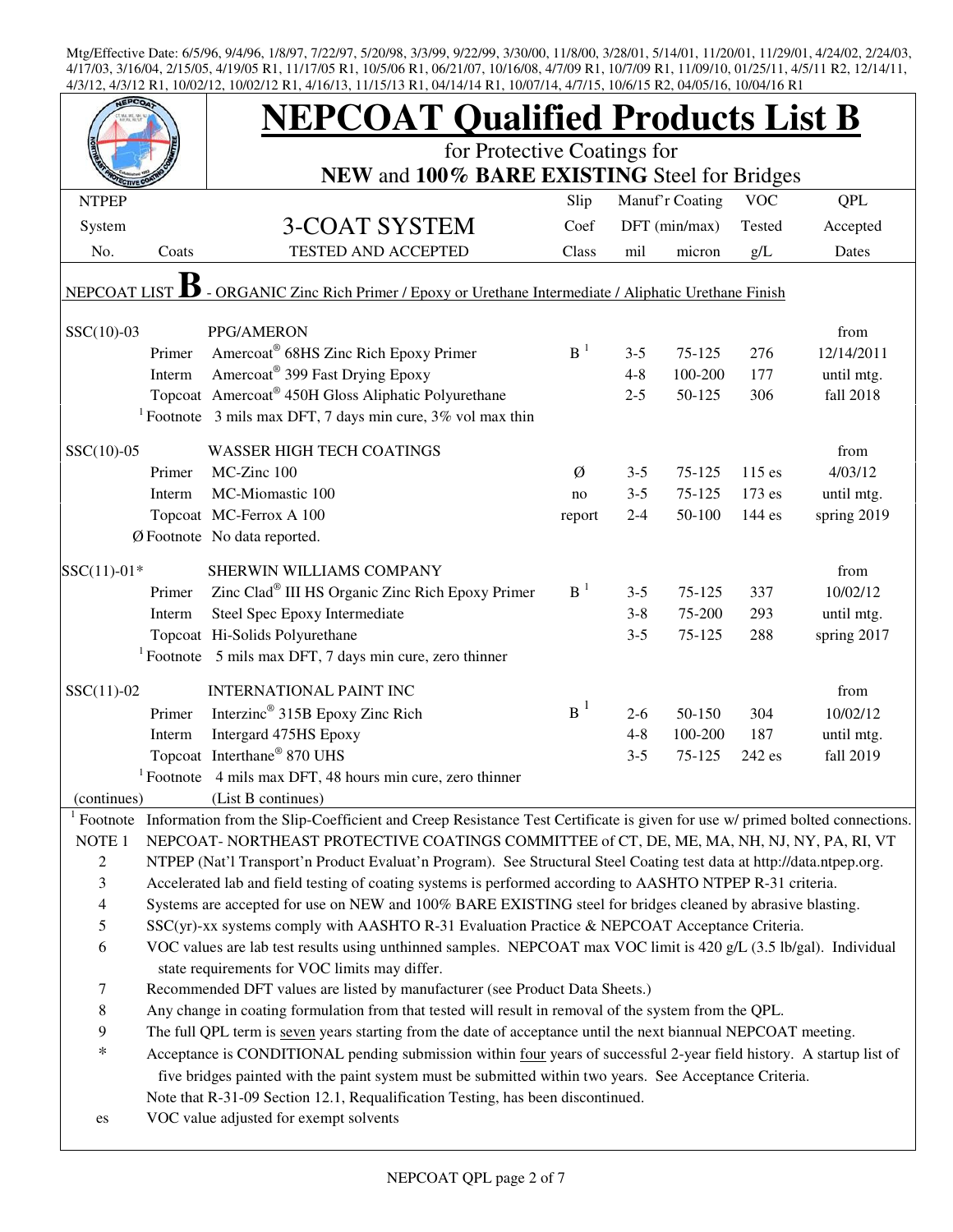|                          |        | <b>NEPCOAT Qualified Products List B</b>                                                                                                                            |                |         |                 |            |             |  |  |  |
|--------------------------|--------|---------------------------------------------------------------------------------------------------------------------------------------------------------------------|----------------|---------|-----------------|------------|-------------|--|--|--|
|                          |        | for Protective Coatings for                                                                                                                                         |                |         |                 |            |             |  |  |  |
|                          |        | NEW and 100% BARE EXISTING Steel for Bridges                                                                                                                        |                |         |                 |            |             |  |  |  |
| <b>NTPEP</b>             |        |                                                                                                                                                                     | Slip           |         | Manuf'r Coating | <b>VOC</b> | <b>QPL</b>  |  |  |  |
| System                   |        | <b>3-COAT SYSTEM</b>                                                                                                                                                | Coef           |         | DFT (min/max)   | Tested     | Accepted    |  |  |  |
| No.                      | Coats  | <b>TESTED AND ACCEPTED</b>                                                                                                                                          | Class          | mil     | micron          | g/L        | Dates       |  |  |  |
| <b>NEPCOAT LIST</b>      |        | - ORGANIC Zinc Rich Primer / Epoxy or Urethane Intermediate / Aliphatic Urethane Finish                                                                             |                |         |                 |            |             |  |  |  |
| $SSC(10)-03$             |        | PPG/AMERON                                                                                                                                                          |                |         |                 |            | from        |  |  |  |
|                          | Primer | Amercoat <sup>®</sup> 68HS Zinc Rich Epoxy Primer                                                                                                                   | B <sup>1</sup> | $3 - 5$ | 75-125          | 276        | 12/14/2011  |  |  |  |
|                          | Interm | Amercoat® 399 Fast Drying Epoxy                                                                                                                                     |                | $4 - 8$ | 100-200         | 177        | until mtg.  |  |  |  |
|                          |        | Topcoat Amercoat <sup>®</sup> 450H Gloss Aliphatic Polyurethane                                                                                                     |                | $2 - 5$ | 50-125          | 306        | fall 2018   |  |  |  |
|                          |        | <sup>1</sup> Footnote 3 mils max DFT, 7 days min cure, $3\%$ vol max thin                                                                                           |                |         |                 |            |             |  |  |  |
| $SSC(10)-05$             |        | <b>WASSER HIGH TECH COATINGS</b>                                                                                                                                    |                |         |                 |            | from        |  |  |  |
|                          | Primer | MC-Zinc 100                                                                                                                                                         | Ø              | $3 - 5$ | 75-125          | $115$ es   | 4/03/12     |  |  |  |
|                          | Interm | MC-Miomastic 100                                                                                                                                                    | no             | $3 - 5$ | 75-125          | 173 es     | until mtg.  |  |  |  |
|                          |        | Topcoat MC-Ferrox A 100                                                                                                                                             | report         | $2 - 4$ | 50-100          | 144 es     | spring 2019 |  |  |  |
|                          |        | $\emptyset$ Footnote No data reported.                                                                                                                              |                |         |                 |            |             |  |  |  |
|                          |        |                                                                                                                                                                     |                |         |                 |            |             |  |  |  |
| $SSC(11)-01*$            |        | SHERWIN WILLIAMS COMPANY                                                                                                                                            |                |         |                 |            | from        |  |  |  |
|                          | Primer | Zinc Clad® III HS Organic Zinc Rich Epoxy Primer                                                                                                                    | $B-1$          | $3 - 5$ | 75-125          | 337        | 10/02/12    |  |  |  |
|                          | Interm | Steel Spec Epoxy Intermediate                                                                                                                                       |                | $3 - 8$ | 75-200          | 293        | until mtg.  |  |  |  |
|                          |        | Topcoat Hi-Solids Polyurethane                                                                                                                                      |                | $3 - 5$ | 75-125          | 288        | spring 2017 |  |  |  |
|                          |        | <sup>1</sup> Footnote 5 mils max DFT, 7 days min cure, zero thinner                                                                                                 |                |         |                 |            |             |  |  |  |
| $SSC(11)-02$             |        | <b>INTERNATIONAL PAINT INC</b>                                                                                                                                      |                |         |                 |            | from        |  |  |  |
|                          | Primer | Interzinc <sup>®</sup> 315B Epoxy Zinc Rich                                                                                                                         | $B^1$          | $2-6$   | 50-150          | 304        | 10/02/12    |  |  |  |
|                          | Interm | Intergard 475HS Epoxy                                                                                                                                               |                | $4 - 8$ | 100-200         | 187        | until mtg.  |  |  |  |
|                          |        | Topcoat Interthane® 870 UHS                                                                                                                                         |                | $3 - 5$ | 75-125          | 242 es     | fall 2019   |  |  |  |
|                          |        | $1$ Footnote 4 mils max DFT, 48 hours min cure, zero thinner                                                                                                        |                |         |                 |            |             |  |  |  |
| (continues)              |        | (List B continues)                                                                                                                                                  |                |         |                 |            |             |  |  |  |
| $1$ Footnote             |        | Information from the Slip-Coefficient and Creep Resistance Test Certificate is given for use w/ primed bolted connections.                                          |                |         |                 |            |             |  |  |  |
| NOTE 1                   |        | NEPCOAT-NORTHEAST PROTECTIVE COATINGS COMMITTEE of CT, DE, ME, MA, NH, NJ, NY, PA, RI, VT                                                                           |                |         |                 |            |             |  |  |  |
| $\sqrt{2}$               |        | NTPEP (Nat'l Transport'n Product Evaluat'n Program). See Structural Steel Coating test data at http://data.ntpep.org.                                               |                |         |                 |            |             |  |  |  |
| 3                        |        | Accelerated lab and field testing of coating systems is performed according to AASHTO NTPEP R-31 criteria.                                                          |                |         |                 |            |             |  |  |  |
| $\overline{\mathcal{L}}$ |        | Systems are accepted for use on NEW and 100% BARE EXISTING steel for bridges cleaned by abrasive blasting.                                                          |                |         |                 |            |             |  |  |  |
| 5                        |        | SSC(yr)-xx systems comply with AASHTO R-31 Evaluation Practice & NEPCOAT Acceptance Criteria.                                                                       |                |         |                 |            |             |  |  |  |
| 6                        |        | VOC values are lab test results using unthinned samples. NEPCOAT max VOC limit is 420 g/L (3.5 lb/gal). Individual<br>state requirements for VOC limits may differ. |                |         |                 |            |             |  |  |  |
| $\tau$                   |        | Recommended DFT values are listed by manufacturer (see Product Data Sheets.)                                                                                        |                |         |                 |            |             |  |  |  |
| $\,8\,$                  |        | Any change in coating formulation from that tested will result in removal of the system from the QPL.                                                               |                |         |                 |            |             |  |  |  |
| 9                        |        | The full QPL term is seven years starting from the date of acceptance until the next biannual NEPCOAT meeting.                                                      |                |         |                 |            |             |  |  |  |
| $\ast$                   |        | Acceptance is CONDITIONAL pending submission within four years of successful 2-year field history. A startup list of                                                |                |         |                 |            |             |  |  |  |
|                          |        | five bridges painted with the paint system must be submitted within two years. See Acceptance Criteria.                                                             |                |         |                 |            |             |  |  |  |
|                          |        | Note that R-31-09 Section 12.1, Requalification Testing, has been discontinued.                                                                                     |                |         |                 |            |             |  |  |  |
| es                       |        | VOC value adjusted for exempt solvents                                                                                                                              |                |         |                 |            |             |  |  |  |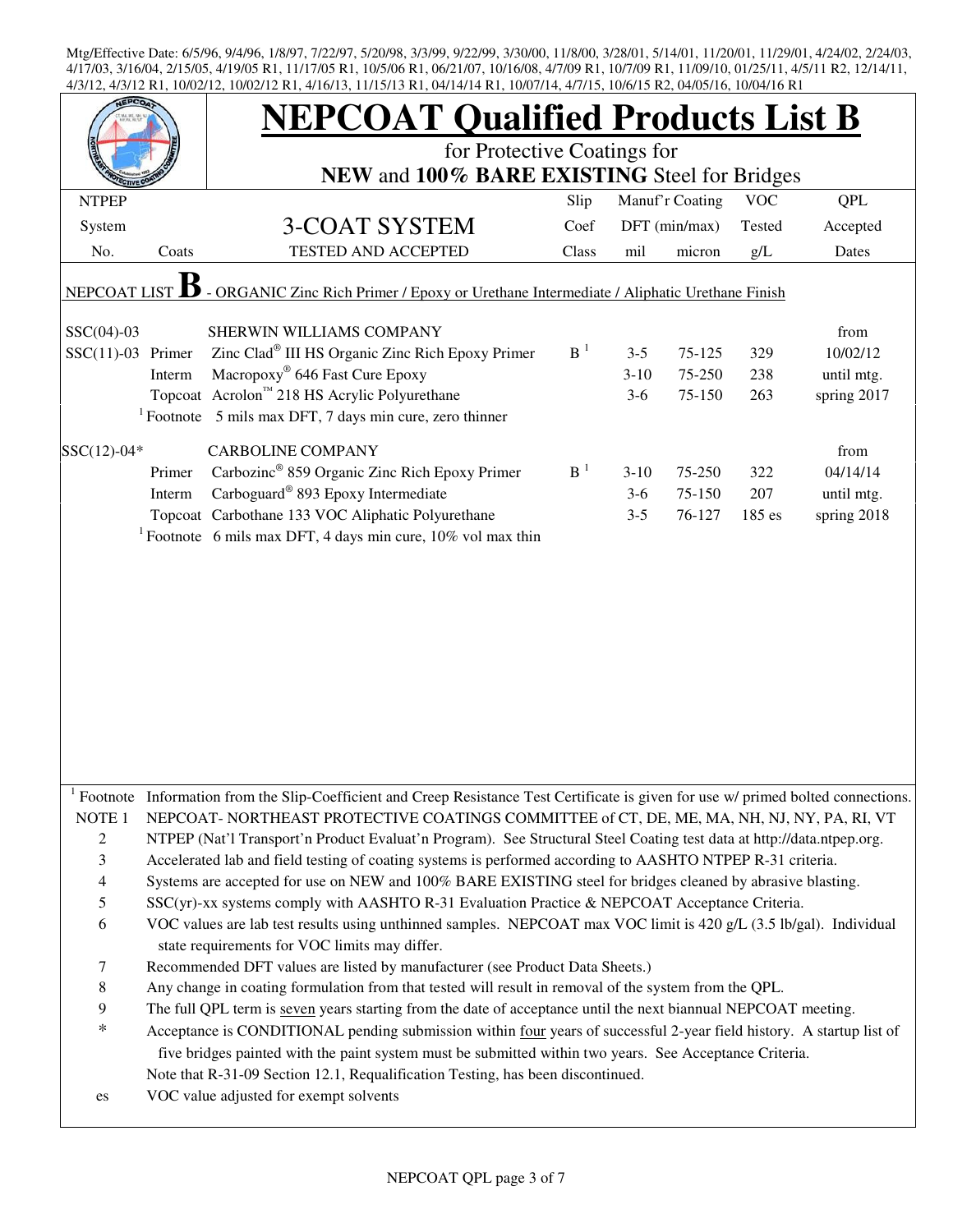| 7/3/12 INT, TU/U2/12, TU/U2/12 INT, 7/10/13, TI/T3/13 INT, 07/17/17 INT, TU/U7/17, 7/7/13, TU/U/I3 IN2, 07/03/10, TU/O7/TO INT<br><b>JEPCO</b> |        | <b>NEPCOAT Qualified Products List B</b><br>for Protective Coatings for<br>NEW and 100% BARE EXISTING Steel for Bridges                                                                                                                                                                                            |                |         |                 |            |             |  |  |
|------------------------------------------------------------------------------------------------------------------------------------------------|--------|--------------------------------------------------------------------------------------------------------------------------------------------------------------------------------------------------------------------------------------------------------------------------------------------------------------------|----------------|---------|-----------------|------------|-------------|--|--|
|                                                                                                                                                |        |                                                                                                                                                                                                                                                                                                                    |                |         |                 |            |             |  |  |
| <b>NTPEP</b>                                                                                                                                   |        |                                                                                                                                                                                                                                                                                                                    | Slip           |         | Manuf'r Coating | <b>VOC</b> | QPL         |  |  |
| System                                                                                                                                         |        | 3-COAT SYSTEM                                                                                                                                                                                                                                                                                                      | Coef           |         | DFT (min/max)   | Tested     | Accepted    |  |  |
| No.                                                                                                                                            | Coats  | <b>TESTED AND ACCEPTED</b>                                                                                                                                                                                                                                                                                         | Class          | mil     | micron          | g/L        | Dates       |  |  |
| <b>NEPCOAT LIST</b>                                                                                                                            |        | - ORGANIC Zinc Rich Primer / Epoxy or Urethane Intermediate / Aliphatic Urethane Finish                                                                                                                                                                                                                            |                |         |                 |            |             |  |  |
| $SSC(04)-03$                                                                                                                                   |        | SHERWIN WILLIAMS COMPANY                                                                                                                                                                                                                                                                                           |                |         |                 |            | from        |  |  |
| $SSC(11)-03$ Primer                                                                                                                            |        | Zinc Clad <sup>®</sup> III HS Organic Zinc Rich Epoxy Primer                                                                                                                                                                                                                                                       | $B-1$          | $3 - 5$ | 75-125          | 329        | 10/02/12    |  |  |
|                                                                                                                                                | Interm | Macropoxy <sup>®</sup> 646 Fast Cure Epoxy                                                                                                                                                                                                                                                                         |                | $3-10$  | 75-250          | 238        | until mtg.  |  |  |
|                                                                                                                                                |        | Topcoat Acrolon™ 218 HS Acrylic Polyurethane                                                                                                                                                                                                                                                                       |                | $3-6$   | 75-150          | 263        | spring 2017 |  |  |
|                                                                                                                                                |        | $1$ Footnote 5 mils max DFT, 7 days min cure, zero thinner                                                                                                                                                                                                                                                         |                |         |                 |            |             |  |  |
| $SSC(12)-04*$                                                                                                                                  |        | <b>CARBOLINE COMPANY</b>                                                                                                                                                                                                                                                                                           |                |         |                 |            | from        |  |  |
|                                                                                                                                                | Primer | Carbozinc <sup>®</sup> 859 Organic Zinc Rich Epoxy Primer                                                                                                                                                                                                                                                          | B <sup>1</sup> | $3-10$  | 75-250          | 322        | 04/14/14    |  |  |
|                                                                                                                                                | Interm | Carboguard <sup>®</sup> 893 Epoxy Intermediate                                                                                                                                                                                                                                                                     |                | $3-6$   | 75-150          | 207        | until mtg.  |  |  |
|                                                                                                                                                |        | Topcoat Carbothane 133 VOC Aliphatic Polyurethane                                                                                                                                                                                                                                                                  |                | $3 - 5$ | 76-127          | 185 es     | spring 2018 |  |  |
|                                                                                                                                                |        | <sup>1</sup> Footnote 6 mils max DFT, 4 days min cure, $10\%$ vol max thin                                                                                                                                                                                                                                         |                |         |                 |            |             |  |  |
|                                                                                                                                                |        |                                                                                                                                                                                                                                                                                                                    |                |         |                 |            |             |  |  |
|                                                                                                                                                |        | Footnote Information from the Slip-Coefficient and Creep Resistance Test Certificate is given for use w/ primed bolted connections.                                                                                                                                                                                |                |         |                 |            |             |  |  |
| NOTE 1                                                                                                                                         |        | NEPCOAT-NORTHEAST PROTECTIVE COATINGS COMMITTEE of CT, DE, ME, MA, NH, NJ, NY, PA, RI, VT                                                                                                                                                                                                                          |                |         |                 |            |             |  |  |
| $\overline{2}$                                                                                                                                 |        | NTPEP (Nat'l Transport'n Product Evaluat'n Program). See Structural Steel Coating test data at http://data.ntpep.org.                                                                                                                                                                                              |                |         |                 |            |             |  |  |
| 3                                                                                                                                              |        | Accelerated lab and field testing of coating systems is performed according to AASHTO NTPEP R-31 criteria.                                                                                                                                                                                                         |                |         |                 |            |             |  |  |
| $\overline{4}$                                                                                                                                 |        | Systems are accepted for use on NEW and 100% BARE EXISTING steel for bridges cleaned by abrasive blasting.                                                                                                                                                                                                         |                |         |                 |            |             |  |  |
| $\mathfrak s$                                                                                                                                  |        | SSC(yr)-xx systems comply with AASHTO R-31 Evaluation Practice & NEPCOAT Acceptance Criteria.                                                                                                                                                                                                                      |                |         |                 |            |             |  |  |
| 6                                                                                                                                              |        | VOC values are lab test results using unthinned samples. NEPCOAT max VOC limit is 420 g/L (3.5 lb/gal). Individual<br>state requirements for VOC limits may differ.                                                                                                                                                |                |         |                 |            |             |  |  |
| 7                                                                                                                                              |        | Recommended DFT values are listed by manufacturer (see Product Data Sheets.)                                                                                                                                                                                                                                       |                |         |                 |            |             |  |  |
| 8                                                                                                                                              |        | Any change in coating formulation from that tested will result in removal of the system from the QPL.                                                                                                                                                                                                              |                |         |                 |            |             |  |  |
| 9                                                                                                                                              |        | The full QPL term is seven years starting from the date of acceptance until the next biannual NEPCOAT meeting.                                                                                                                                                                                                     |                |         |                 |            |             |  |  |
| $\ast$                                                                                                                                         |        | Acceptance is CONDITIONAL pending submission within four years of successful 2-year field history. A startup list of<br>five bridges painted with the paint system must be submitted within two years. See Acceptance Criteria.<br>Note that R-31-09 Section 12.1, Requalification Testing, has been discontinued. |                |         |                 |            |             |  |  |
| es                                                                                                                                             |        | VOC value adjusted for exempt solvents                                                                                                                                                                                                                                                                             |                |         |                 |            |             |  |  |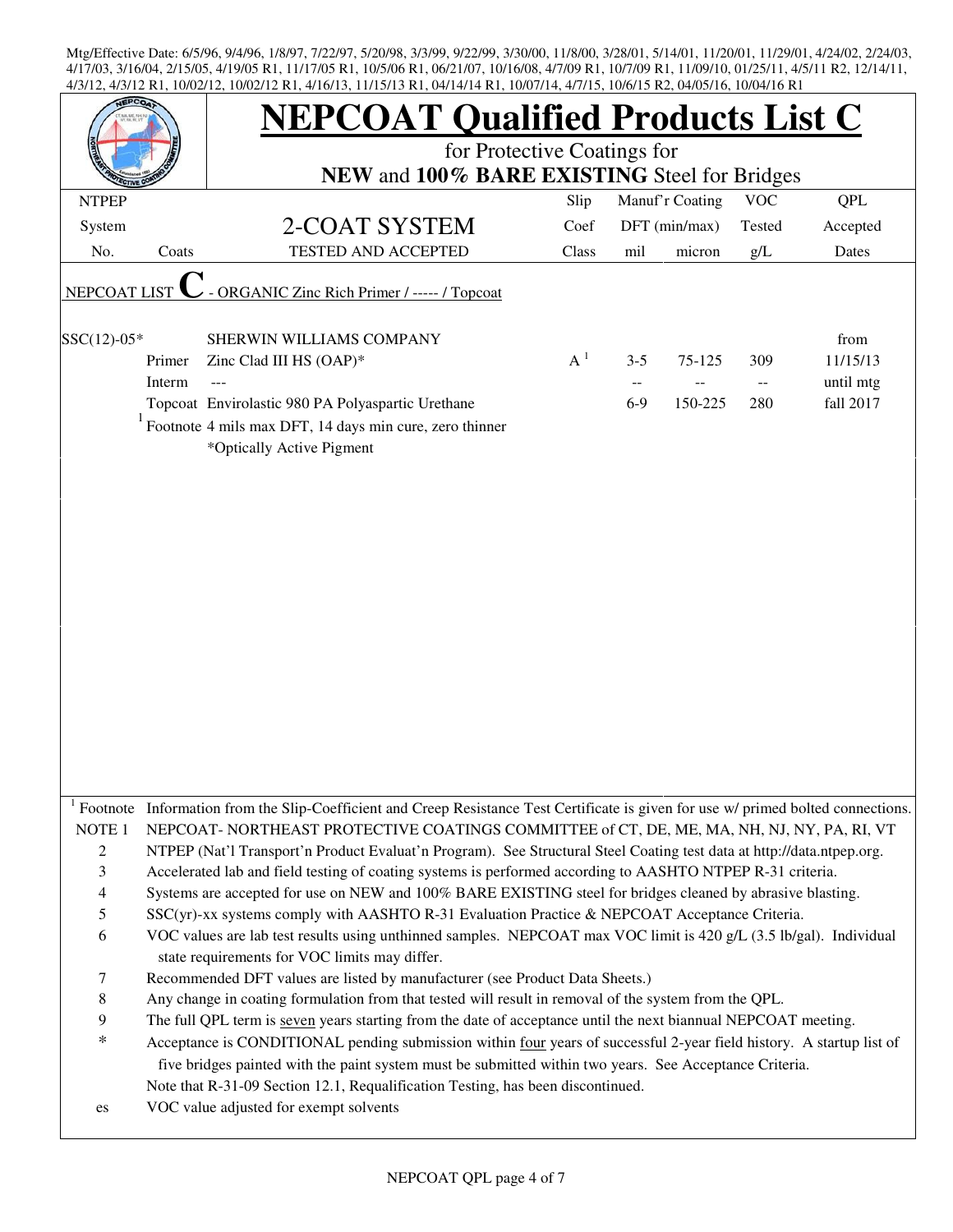| <b>EPCO</b>                         |        | <b>NEPCOAT Qualified Products List C</b>                                                                                                                                                                                                                                                                                                                  |       |            |                 |                          |           |  |  |
|-------------------------------------|--------|-----------------------------------------------------------------------------------------------------------------------------------------------------------------------------------------------------------------------------------------------------------------------------------------------------------------------------------------------------------|-------|------------|-----------------|--------------------------|-----------|--|--|
|                                     |        | for Protective Coatings for                                                                                                                                                                                                                                                                                                                               |       |            |                 |                          |           |  |  |
|                                     |        | NEW and 100% BARE EXISTING Steel for Bridges                                                                                                                                                                                                                                                                                                              |       |            | Manuf'r Coating | <b>VOC</b>               |           |  |  |
| <b>NTPEP</b>                        |        |                                                                                                                                                                                                                                                                                                                                                           | Slip  | <b>QPL</b> |                 |                          |           |  |  |
| System                              |        | 2-COAT SYSTEM                                                                                                                                                                                                                                                                                                                                             | Coef  |            | DFT (min/max)   | Tested                   | Accepted  |  |  |
| No.                                 | Coats  | <b>TESTED AND ACCEPTED</b>                                                                                                                                                                                                                                                                                                                                | Class | mil        | micron          | g/L                      | Dates     |  |  |
| <b>NEPCOAT LIST</b>                 |        | - ORGANIC Zinc Rich Primer / ----- / Topcoat                                                                                                                                                                                                                                                                                                              |       |            |                 |                          |           |  |  |
| SSC(12)-05*                         |        | SHERWIN WILLIAMS COMPANY                                                                                                                                                                                                                                                                                                                                  |       |            |                 |                          | from      |  |  |
|                                     | Primer | Zinc Clad III HS (OAP)*                                                                                                                                                                                                                                                                                                                                   | $A^1$ | $3 - 5$    | 75-125          | 309                      | 11/15/13  |  |  |
|                                     | Interm |                                                                                                                                                                                                                                                                                                                                                           |       |            |                 | $\overline{\phantom{a}}$ | until mtg |  |  |
|                                     |        | Topcoat Envirolastic 980 PA Polyaspartic Urethane                                                                                                                                                                                                                                                                                                         |       | $6-9$      | 150-225         | 280                      | fall 2017 |  |  |
|                                     |        | Footnote 4 mils max DFT, 14 days min cure, zero thinner<br>*Optically Active Pigment                                                                                                                                                                                                                                                                      |       |            |                 |                          |           |  |  |
|                                     |        |                                                                                                                                                                                                                                                                                                                                                           |       |            |                 |                          |           |  |  |
| NOTE <sub>1</sub><br>$\overline{c}$ |        | Footnote Information from the Slip-Coefficient and Creep Resistance Test Certificate is given for use w/ primed bolted connections.<br>NEPCOAT-NORTHEAST PROTECTIVE COATINGS COMMITTEE of CT, DE, ME, MA, NH, NJ, NY, PA, RI, VT<br>NTPEP (Nat'l Transport'n Product Evaluat'n Program). See Structural Steel Coating test data at http://data.ntpep.org. |       |            |                 |                          |           |  |  |
| $\mathfrak{Z}$                      |        | Accelerated lab and field testing of coating systems is performed according to AASHTO NTPEP R-31 criteria.                                                                                                                                                                                                                                                |       |            |                 |                          |           |  |  |
| $\overline{\mathcal{A}}$            |        | Systems are accepted for use on NEW and 100% BARE EXISTING steel for bridges cleaned by abrasive blasting.                                                                                                                                                                                                                                                |       |            |                 |                          |           |  |  |
| $\mathfrak s$                       |        | SSC(yr)-xx systems comply with AASHTO R-31 Evaluation Practice & NEPCOAT Acceptance Criteria.                                                                                                                                                                                                                                                             |       |            |                 |                          |           |  |  |
| 6                                   |        | VOC values are lab test results using unthinned samples. NEPCOAT max VOC limit is 420 g/L (3.5 lb/gal). Individual<br>state requirements for VOC limits may differ.                                                                                                                                                                                       |       |            |                 |                          |           |  |  |
| 7                                   |        | Recommended DFT values are listed by manufacturer (see Product Data Sheets.)                                                                                                                                                                                                                                                                              |       |            |                 |                          |           |  |  |
| $\,$ 8 $\,$                         |        | Any change in coating formulation from that tested will result in removal of the system from the QPL.                                                                                                                                                                                                                                                     |       |            |                 |                          |           |  |  |
| 9                                   |        | The full QPL term is seven years starting from the date of acceptance until the next biannual NEPCOAT meeting.                                                                                                                                                                                                                                            |       |            |                 |                          |           |  |  |
| $\ast$                              |        | Acceptance is CONDITIONAL pending submission within four years of successful 2-year field history. A startup list of<br>five bridges painted with the paint system must be submitted within two years. See Acceptance Criteria.<br>Note that R-31-09 Section 12.1, Requalification Testing, has been discontinued.                                        |       |            |                 |                          |           |  |  |
| es                                  |        | VOC value adjusted for exempt solvents                                                                                                                                                                                                                                                                                                                    |       |            |                 |                          |           |  |  |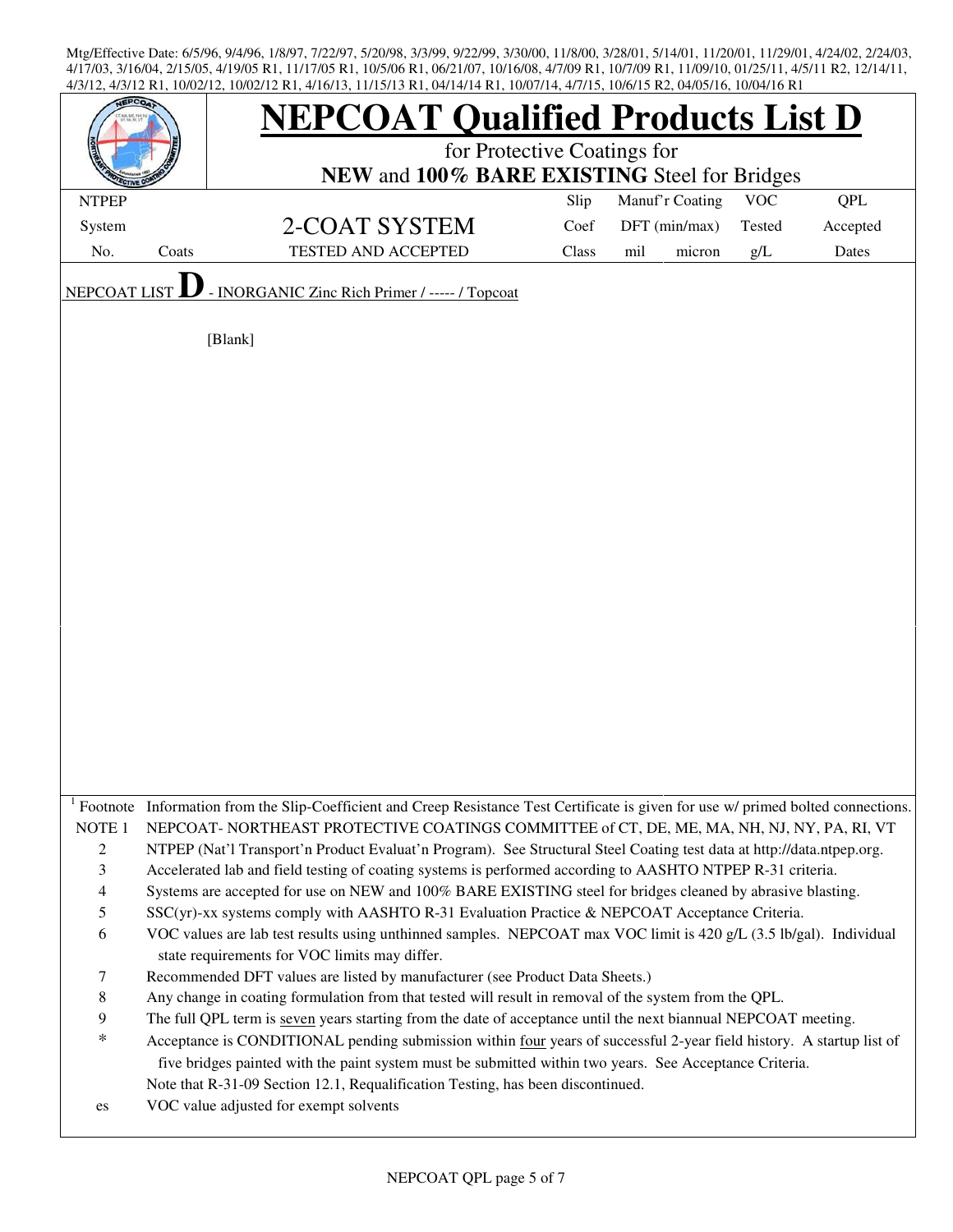| <b>JEPCOA</b>       |       | TIZITE, TOIOZITZ, TOIOZITZ INT, TITOITZ, TIITZITZ INT, OTITTITTINT, TOIOIITT, TIITTZ, TOIOITZ INZ, OTIOZITO, TOIOTITO INT<br><b>IEPCOAT Qualified Products List D</b>                                                               | for Protective Coatings for |                 |        |            |            |
|---------------------|-------|-------------------------------------------------------------------------------------------------------------------------------------------------------------------------------------------------------------------------------------|-----------------------------|-----------------|--------|------------|------------|
|                     |       | NEW and 100% BARE EXISTING Steel for Bridges                                                                                                                                                                                        |                             |                 |        |            |            |
| <b>NTPEP</b>        |       |                                                                                                                                                                                                                                     | Slip                        | Manuf'r Coating |        | <b>VOC</b> | <b>QPL</b> |
| System              |       | 2-COAT SYSTEM                                                                                                                                                                                                                       | Coef                        | DFT (min/max)   |        | Tested     | Accepted   |
| No.                 | Coats | TESTED AND ACCEPTED                                                                                                                                                                                                                 | Class                       | mil             | micron | g/L        | Dates      |
| NEPCOAT LIS         |       | - INORGANIC Zinc Rich Primer / ----- / Topcoat                                                                                                                                                                                      |                             |                 |        |            |            |
|                     |       | [Blank]                                                                                                                                                                                                                             |                             |                 |        |            |            |
|                     |       |                                                                                                                                                                                                                                     |                             |                 |        |            |            |
|                     |       |                                                                                                                                                                                                                                     |                             |                 |        |            |            |
|                     |       |                                                                                                                                                                                                                                     |                             |                 |        |            |            |
|                     |       |                                                                                                                                                                                                                                     |                             |                 |        |            |            |
|                     |       |                                                                                                                                                                                                                                     |                             |                 |        |            |            |
|                     |       |                                                                                                                                                                                                                                     |                             |                 |        |            |            |
|                     |       |                                                                                                                                                                                                                                     |                             |                 |        |            |            |
|                     |       |                                                                                                                                                                                                                                     |                             |                 |        |            |            |
|                     |       |                                                                                                                                                                                                                                     |                             |                 |        |            |            |
|                     |       |                                                                                                                                                                                                                                     |                             |                 |        |            |            |
|                     |       |                                                                                                                                                                                                                                     |                             |                 |        |            |            |
|                     |       |                                                                                                                                                                                                                                     |                             |                 |        |            |            |
|                     |       |                                                                                                                                                                                                                                     |                             |                 |        |            |            |
|                     |       |                                                                                                                                                                                                                                     |                             |                 |        |            |            |
|                     |       |                                                                                                                                                                                                                                     |                             |                 |        |            |            |
|                     |       |                                                                                                                                                                                                                                     |                             |                 |        |            |            |
|                     |       |                                                                                                                                                                                                                                     |                             |                 |        |            |            |
|                     |       |                                                                                                                                                                                                                                     |                             |                 |        |            |            |
|                     |       |                                                                                                                                                                                                                                     |                             |                 |        |            |            |
|                     |       | Footnote Information from the Slip-Coefficient and Creep Resistance Test Certificate is given for use w/ primed bolted connections.                                                                                                 |                             |                 |        |            |            |
| NOTE <sub>1</sub>   |       | NEPCOAT-NORTHEAST PROTECTIVE COATINGS COMMITTEE of CT, DE, ME, MA, NH, NJ, NY, PA, RI, VT                                                                                                                                           |                             |                 |        |            |            |
| $\overline{2}$<br>3 |       | NTPEP (Nat'l Transport'n Product Evaluat'n Program). See Structural Steel Coating test data at http://data.ntpep.org.<br>Accelerated lab and field testing of coating systems is performed according to AASHTO NTPEP R-31 criteria. |                             |                 |        |            |            |
| 4                   |       | Systems are accepted for use on NEW and 100% BARE EXISTING steel for bridges cleaned by abrasive blasting.                                                                                                                          |                             |                 |        |            |            |
| 5                   |       | SSC(yr)-xx systems comply with AASHTO R-31 Evaluation Practice & NEPCOAT Acceptance Criteria.                                                                                                                                       |                             |                 |        |            |            |
| 6                   |       | VOC values are lab test results using unthinned samples. NEPCOAT max VOC limit is 420 g/L (3.5 lb/gal). Individual                                                                                                                  |                             |                 |        |            |            |
|                     |       | state requirements for VOC limits may differ.                                                                                                                                                                                       |                             |                 |        |            |            |
| 7                   |       | Recommended DFT values are listed by manufacturer (see Product Data Sheets.)                                                                                                                                                        |                             |                 |        |            |            |
| $\,$ 8 $\,$         |       | Any change in coating formulation from that tested will result in removal of the system from the QPL.                                                                                                                               |                             |                 |        |            |            |
| 9                   |       | The full QPL term is seven years starting from the date of acceptance until the next biannual NEPCOAT meeting.                                                                                                                      |                             |                 |        |            |            |
| $\ast$              |       | Acceptance is CONDITIONAL pending submission within four years of successful 2-year field history. A startup list of                                                                                                                |                             |                 |        |            |            |
|                     |       | five bridges painted with the paint system must be submitted within two years. See Acceptance Criteria.                                                                                                                             |                             |                 |        |            |            |
|                     |       | Note that R-31-09 Section 12.1, Requalification Testing, has been discontinued.                                                                                                                                                     |                             |                 |        |            |            |
| es                  |       | VOC value adjusted for exempt solvents                                                                                                                                                                                              |                             |                 |        |            |            |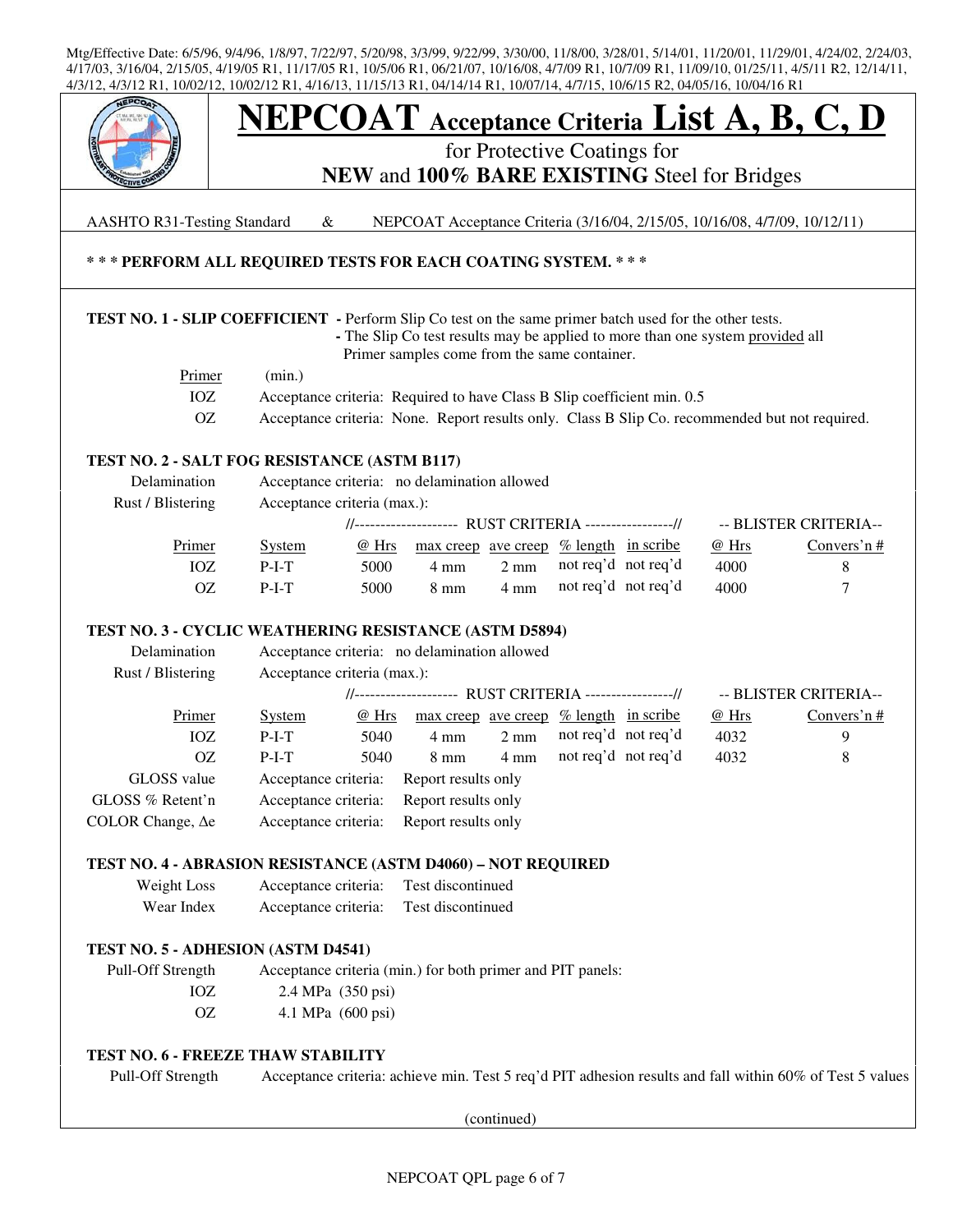